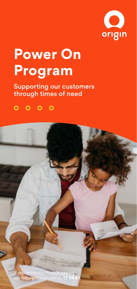

# **Power On Program**

Supporting our customers through times of need

 $0000$ 

If you're having trouble paying our bills, get in touch on **13 24 61**.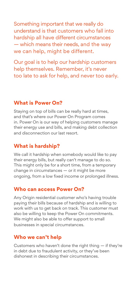Something important that we really do understand is that customers who fall into hardship all have different circumstances — which means their needs, and the way we can help, might be different.

Our goal is to help our hardship customers help themselves. Remember, it's never too late to ask for help, and never too early.

## **What is Power On?**

Staying on top of bills can be really hard at times, and that's where our Power On Program comes in. Power On is our way of helping customers manage their energy use and bills, and making debt collection and disconnection our last resort.

# **What is hardship?**

We call it hardship when somebody would like to pay their energy bills, but really can't manage to do so. This might only be for a short time, from a temporary change in circumstances — or it might be more ongoing, from a low fixed income or prolonged illness.

## **Who can access Power On?**

Any Origin residential customer who's having trouble paying their bills because of hardship and is willing to work with us to get back on track. This customer must also be willing to keep the Power On commitments. We might also be able to offer support to small businesses in special circumstances.

## **Who we can't help**

Customers who haven't done the right thing — if they're in debt due to fraudulent activity, or they've been dishonest in describing their circumstances.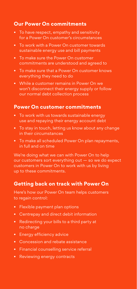# **Our Power On commitments**

- To have respect, empathy and sensitivity for a Power On customer's circumstances
- To work with a Power On customer towards sustainable energy use and bill payments
- To make sure the Power On customer commitments are understood and agreed to
- To make sure that a Power On customer knows everything they need to do
- While a customer remains in Power On we won't disconnect their energy supply or follow our normal debt collection process

#### **Power On customer commitments**

- To work with us towards sustainable energy use and repaying their energy account debt
- To stay in touch, letting us know about any change in their circumstances
- To make all scheduled Power On plan repayments, in full and on time

We're doing what we can with Power On to help our customers sort everything out — so we do expect customers in Power On to work with us by living up to these commitments.

# **Getting back on track with Power On**

Here's how our Power On team helps customers to regain control:

- Flexible payment plan options
- Centrepay and direct debit information
- Redirecting your bills to a third party at no charge
- Energy efficiency advice
- Concession and rebate assistance
- Financial counselling service referral
- Reviewing energy contracts